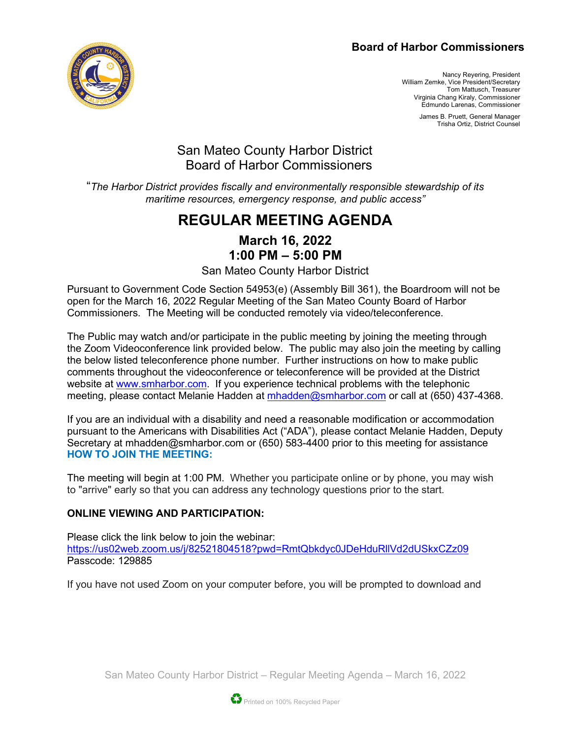### **Board of Harbor Commissioners**



Nancy Reyering, President William Zemke, Vice President/Secretary Tom Mattusch, Treasurer Virginia Chang Kiraly, Commissioner Edmundo Larenas, Commissioner

> James B. Pruett, General Manager Trisha Ortiz, District Counsel

## San Mateo County Harbor District Board of Harbor Commissioners

"*The Harbor District provides fiscally and environmentally responsible stewardship of its maritime resources, emergency response, and public access"*

# **REGULAR MEETING AGENDA**

### **March 16, 2022 1:00 PM – 5:00 PM**

San Mateo County Harbor District

Pursuant to Government Code Section 54953(e) (Assembly Bill 361), the Boardroom will not be open for the March 16, 2022 Regular Meeting of the San Mateo County Board of Harbor Commissioners. The Meeting will be conducted remotely via video/teleconference.

The Public may watch and/or participate in the public meeting by joining the meeting through the Zoom Videoconference link provided below. The public may also join the meeting by calling the below listed teleconference phone number. Further instructions on how to make public comments throughout the videoconference or teleconference will be provided at the District website at [www.smharbor.com.](http://www.smharbor.com/) If you experience technical problems with the telephonic meeting, please contact Melanie Hadden at [mhadden@smharbor.com](mailto:mhadden@smharbor.com) or call at (650) 437-4368.

If you are an individual with a disability and need a reasonable modification or accommodation pursuant to the Americans with Disabilities Act ("ADA"), please contact Melanie Hadden, Deputy Secretary at mhadden@smharbor.com or (650) 583-4400 prior to this meeting for assistance **HOW TO JOIN THE MEETING:**

The meeting will begin at 1:00 PM. Whether you participate online or by phone, you may wish to "arrive" early so that you can address any technology questions prior to the start.

### **ONLINE VIEWING AND PARTICIPATION:**

Please click the link below to join the webinar: <https://us02web.zoom.us/j/82521804518?pwd=RmtQbkdyc0JDeHduRllVd2dUSkxCZz09> Passcode: 129885

If you have not used Zoom on your computer before, you will be prompted to download and

San Mateo County Harbor District – Regular Meeting Agenda – March 16, 2022

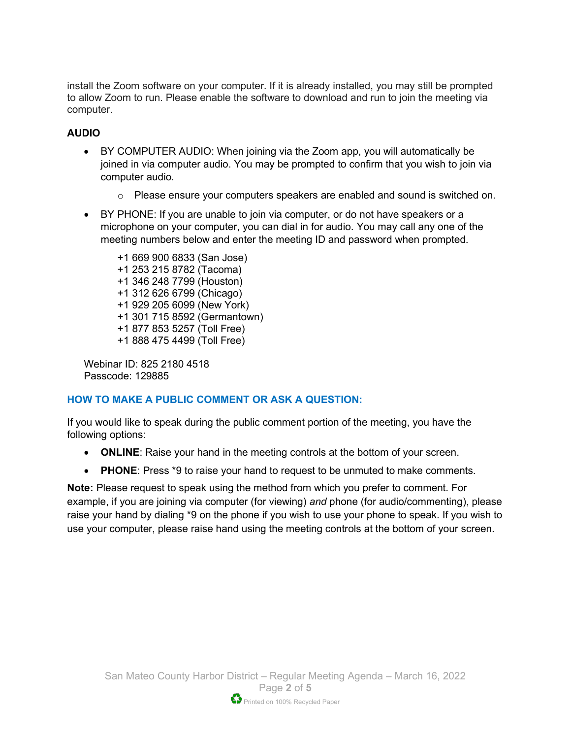install the Zoom software on your computer. If it is already installed, you may still be prompted to allow Zoom to run. Please enable the software to download and run to join the meeting via computer.

#### **AUDIO**

- BY COMPUTER AUDIO: When joining via the Zoom app, you will automatically be joined in via computer audio. You may be prompted to confirm that you wish to join via computer audio.
	- $\circ$  Please ensure your computers speakers are enabled and sound is switched on.
- BY PHONE: If you are unable to join via computer, or do not have speakers or a microphone on your computer, you can dial in for audio. You may call any one of the meeting numbers below and enter the meeting ID and password when prompted.

+1 669 900 6833 (San Jose) +1 253 215 8782 (Tacoma) +1 346 248 7799 (Houston) +1 312 626 6799 (Chicago) +1 929 205 6099 (New York) +1 301 715 8592 (Germantown) +1 877 853 5257 (Toll Free) +1 888 475 4499 (Toll Free)

Webinar ID: 825 2180 4518 Passcode: 129885

#### **HOW TO MAKE A PUBLIC COMMENT OR ASK A QUESTION:**

If you would like to speak during the public comment portion of the meeting, you have the following options:

- **ONLINE**: Raise your hand in the meeting controls at the bottom of your screen.
- **PHONE**: Press \*9 to raise your hand to request to be unmuted to make comments.

**Note:** Please request to speak using the method from which you prefer to comment. For example, if you are joining via computer (for viewing) *and* phone (for audio/commenting), please raise your hand by dialing \*9 on the phone if you wish to use your phone to speak. If you wish to use your computer, please raise hand using the meeting controls at the bottom of your screen.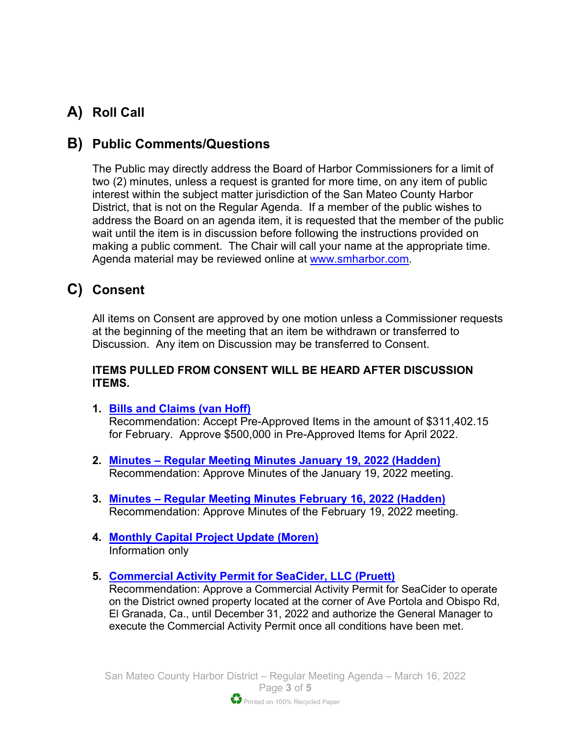# **A) Roll Call**

# **B) Public Comments/Questions**

The Public may directly address the Board of Harbor Commissioners for a limit of two (2) minutes, unless a request is granted for more time, on any item of public interest within the subject matter jurisdiction of the San Mateo County Harbor District, that is not on the Regular Agenda. If a member of the public wishes to address the Board on an agenda item, it is requested that the member of the public wait until the item is in discussion before following the instructions provided on making a public comment. The Chair will call your name at the appropriate time. Agenda material may be reviewed online at [www.smharbor.com.](http://www.smharbor.com/)

# **C) Consent**

All items on Consent are approved by one motion unless a Commissioner requests at the beginning of the meeting that an item be withdrawn or transferred to Discussion. Any item on Discussion may be transferred to Consent.

#### **ITEMS PULLED FROM CONSENT WILL BE HEARD AFTER DISCUSSION ITEMS.**

- **1. [Bills and Claims \(van Hoff\)](https://www.smharbor.com/files/91a928eec/2022_03_16_Item_1_Bills_and_Claims_Staff+Report.pdf)** Recommendation: Accept Pre-Approved Items in the amount of \$311,402.15 for February. Approve \$500,000 in Pre-Approved Items for April 2022.
- **2. Minutes – [Regular Meeting Minutes January 19, 2022 \(Hadden\)](https://www.smharbor.com/files/eed4cfd86/2022_03_16_Item_2_Minutes_Regular_Meeting_January+19+2022.pdf)** Recommendation: Approve Minutes of the January 19, 2022 meeting.
- **3. Minutes – Regular Meeting Minutes [February 16, 2022 \(Hadden\)](https://www.smharbor.com/files/27244a848/2022_03_16_Item_3_Minutes_Regular_Meeting_February+16+2022.pdf)** Recommendation: Approve Minutes of the February 19, 2022 meeting.
- **4. [Monthly Capital Project Update \(Moren\)](https://www.smharbor.com/files/99cb1fdcf/2022_03_16_Item_4_Monthly_Capital_Project_Update_Staff+Report.pdf)** Information only
- **5. [Commercial Activity Permit for SeaCider, LLC](https://www.smharbor.com/files/b683d2edb/2022_03_16_Item_5_SeaCider_Staff+Report.pdf) (Pruett)**

Recommendation: Approve a Commercial Activity Permit for SeaCider to operate on the District owned property located at the corner of Ave Portola and Obispo Rd, El Granada, Ca., until December 31, 2022 and authorize the General Manager to execute the Commercial Activity Permit once all conditions have been met.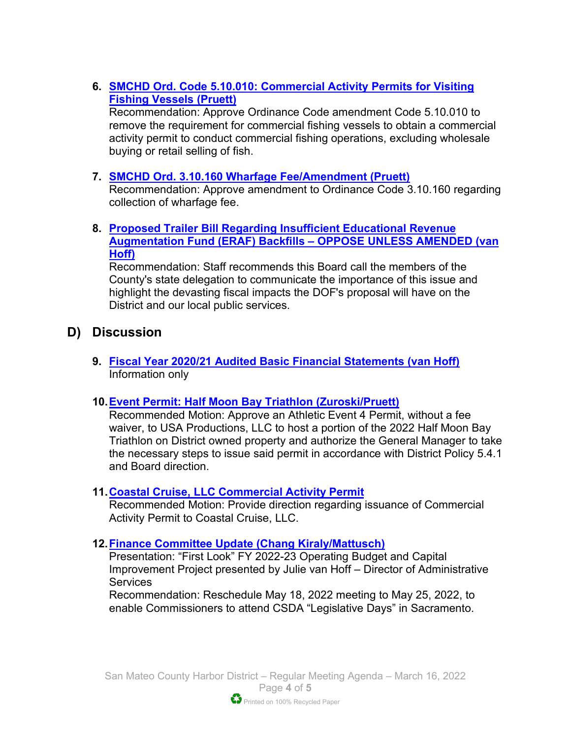### **6. [SMCHD Ord. Code 5.10.010: Commercial Activity Permits for Visiting](https://www.smharbor.com/files/a605ae5a0/2022_03_16_Item_6_Ordinance+Code+5.10.010+Commercial+Activity+Permits+Staff+Report.pdf)  [Fishing Vessels](https://www.smharbor.com/files/a605ae5a0/2022_03_16_Item_6_Ordinance+Code+5.10.010+Commercial+Activity+Permits+Staff+Report.pdf) (Pruett)**

Recommendation: Approve Ordinance Code amendment Code 5.10.010 to remove the requirement for commercial fishing vessels to obtain a commercial activity permit to conduct commercial fishing operations, excluding wholesale buying or retail selling of fish.

### **7. [SMCHD Ord. 3.10.160 Wharfage Fee/Amendment \(Pruett\)](https://www.smharbor.com/files/6e364ba19/2022_03_16_Item_7_Ordinance+Code+3.10.160+Wharfage+Fees+Staff+Report.pdf)**

Recommendation: Approve amendment to Ordinance Code 3.10.160 regarding collection of wharfage fee.

**8. [Proposed Trailer Bill Regarding Insufficient Educational Revenue](https://www.smharbor.com/files/cfbb3c507/2022_03_16_Item_8_VLF+Oppose+unless+Amended+Staff+Report.pdf)  [Augmentation Fund \(ERAF\) Backfills –](https://www.smharbor.com/files/cfbb3c507/2022_03_16_Item_8_VLF+Oppose+unless+Amended+Staff+Report.pdf) OPPOSE UNLESS AMENDED (van [Hoff\)](https://www.smharbor.com/files/cfbb3c507/2022_03_16_Item_8_VLF+Oppose+unless+Amended+Staff+Report.pdf)** 

Recommendation: Staff recommends this Board call the members of the County's state delegation to communicate the importance of this issue and highlight the devasting fiscal impacts the DOF's proposal will have on the District and our local public services.

## **D) Discussion**

**9. [Fiscal Year 2020/21 Audited Basic Financial Statements \(van Hoff\)](https://www.smharbor.com/files/bba169b0e/2022_03_16_Item_9_FY2020-21_Audited_Basic_Financial_Statements_Staff_Report+v2.pdf)** Information only

### **10[.Event Permit: Half Moon Bay Triathlon \(Zuroski/Pruett\)](https://www.smharbor.com/files/317f16a85/2022_03_16_Item_10_HMBTriathlon+Athletic+Event+4_SR+FINAL.pdf)**

Recommended Motion: Approve an Athletic Event 4 Permit, without a fee waiver, to USA Productions, LLC to host a portion of the 2022 Half Moon Bay Triathlon on District owned property and authorize the General Manager to take the necessary steps to issue said permit in accordance with District Policy 5.4.1 and Board direction.

#### **11.Coastal Cruise, [LLC Commercial Activity Permit](https://www.smharbor.com/files/6eed5dcdc/2022_03_16_Item_11_Coastal+Cruise+Staff+Report.pdf)**

Recommended Motion: Provide direction regarding issuance of Commercial Activity Permit to Coastal Cruise, LLC.

### **12[.Finance Committee Update \(Chang Kiraly/Mattusch\)](https://www.smharbor.com/files/e4fc0f01b/2022_03_16_Item_12+First_Look_Budget_Staff+Report.pdf)**

Presentation: "First Look" FY 2022-23 Operating Budget and Capital Improvement Project presented by Julie van Hoff – Director of Administrative **Services** 

Recommendation: Reschedule May 18, 2022 meeting to May 25, 2022, to enable Commissioners to attend CSDA "Legislative Days" in Sacramento.